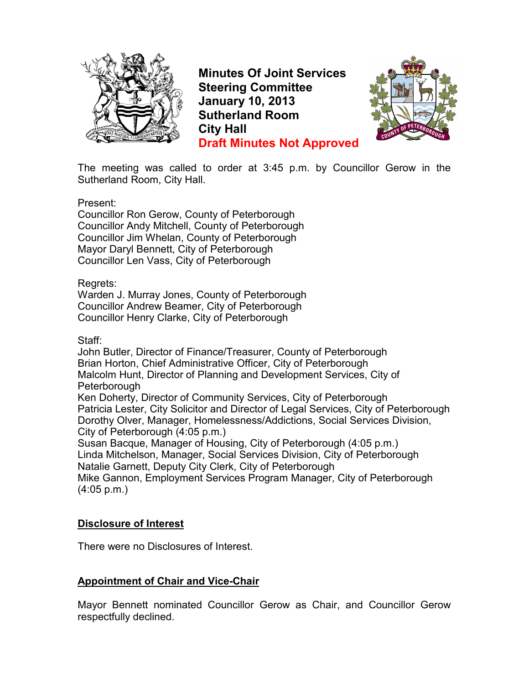

**Minutes Of Joint Services Steering Committee January 10, 2013 Sutherland Room City Hall Draft Minutes Not Approved**



The meeting was called to order at 3:45 p.m. by Councillor Gerow in the Sutherland Room, City Hall.

Present:

Councillor Ron Gerow, County of Peterborough Councillor Andy Mitchell, County of Peterborough Councillor Jim Whelan, County of Peterborough Mayor Daryl Bennett, City of Peterborough Councillor Len Vass, City of Peterborough

Regrets:

Warden J. Murray Jones, County of Peterborough Councillor Andrew Beamer, City of Peterborough Councillor Henry Clarke, City of Peterborough

## Staff:

John Butler, Director of Finance/Treasurer, County of Peterborough Brian Horton, Chief Administrative Officer, City of Peterborough Malcolm Hunt, Director of Planning and Development Services, City of Peterborough

Ken Doherty, Director of Community Services, City of Peterborough Patricia Lester, City Solicitor and Director of Legal Services, City of Peterborough Dorothy Olver, Manager, Homelessness/Addictions, Social Services Division, City of Peterborough (4:05 p.m.)

Susan Bacque, Manager of Housing, City of Peterborough (4:05 p.m.) Linda Mitchelson, Manager, Social Services Division, City of Peterborough Natalie Garnett, Deputy City Clerk, City of Peterborough Mike Gannon, Employment Services Program Manager, City of Peterborough (4:05 p.m.)

## **Disclosure of Interest**

There were no Disclosures of Interest.

## **Appointment of Chair and Vice-Chair**

Mayor Bennett nominated Councillor Gerow as Chair, and Councillor Gerow respectfully declined.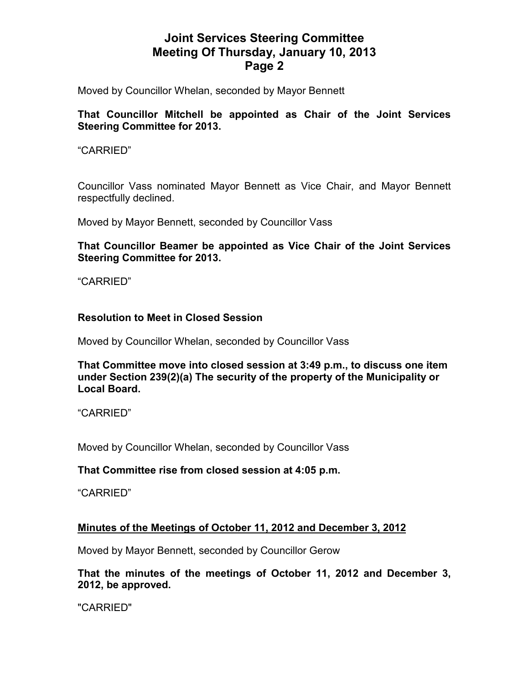Moved by Councillor Whelan, seconded by Mayor Bennett

## **That Councillor Mitchell be appointed as Chair of the Joint Services Steering Committee for 2013.**

### "CARRIED"

Councillor Vass nominated Mayor Bennett as Vice Chair, and Mayor Bennett respectfully declined.

Moved by Mayor Bennett, seconded by Councillor Vass

**That Councillor Beamer be appointed as Vice Chair of the Joint Services Steering Committee for 2013.** 

"CARRIED"

## **Resolution to Meet in Closed Session**

Moved by Councillor Whelan, seconded by Councillor Vass

**That Committee move into closed session at 3:49 p.m., to discuss one item under Section 239(2)(a) The security of the property of the Municipality or Local Board.** 

"CARRIED"

Moved by Councillor Whelan, seconded by Councillor Vass

## **That Committee rise from closed session at 4:05 p.m.**

"CARRIED"

## **Minutes of the Meetings of October 11, 2012 and December 3, 2012**

Moved by Mayor Bennett, seconded by Councillor Gerow

**That the minutes of the meetings of October 11, 2012 and December 3, 2012, be approved.** 

"CARRIED"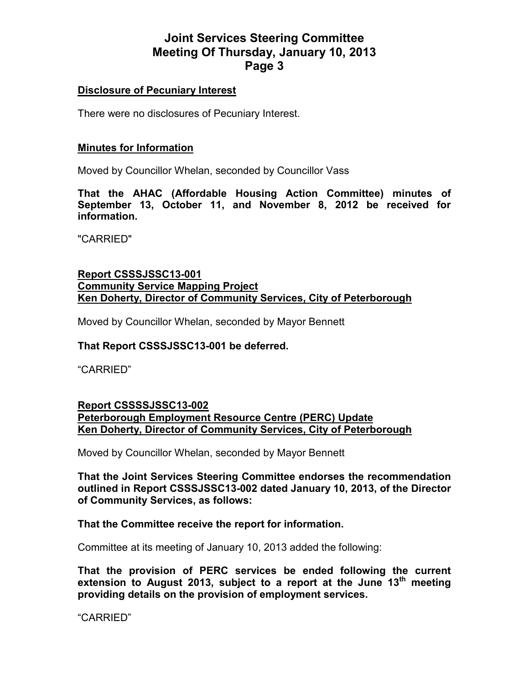#### **Disclosure of Pecuniary Interest**

There were no disclosures of Pecuniary Interest.

#### **Minutes for Information**

Moved by Councillor Whelan, seconded by Councillor Vass

**That the AHAC (Affordable Housing Action Committee) minutes of September 13, October 11, and November 8, 2012 be received for information.** 

"CARRIED"

### **Report CSSSJSSC13-001 Community Service Mapping Project Ken Doherty, Director of Community Services, City of Peterborough**

Moved by Councillor Whelan, seconded by Mayor Bennett

#### **That Report CSSSJSSC13-001 be deferred.**

"CARRIED"

#### **Report CSSSSJSSC13-002 Peterborough Employment Resource Centre (PERC) Update Ken Doherty, Director of Community Services, City of Peterborough**

Moved by Councillor Whelan, seconded by Mayor Bennett

**That the Joint Services Steering Committee endorses the recommendation outlined in Report CSSSJSSC13-002 dated January 10, 2013, of the Director of Community Services, as follows:** 

#### **That the Committee receive the report for information.**

Committee at its meeting of January 10, 2013 added the following:

**That the provision of PERC services be ended following the current extension to August 2013, subject to a report at the June 13th meeting providing details on the provision of employment services.** 

"CARRIED"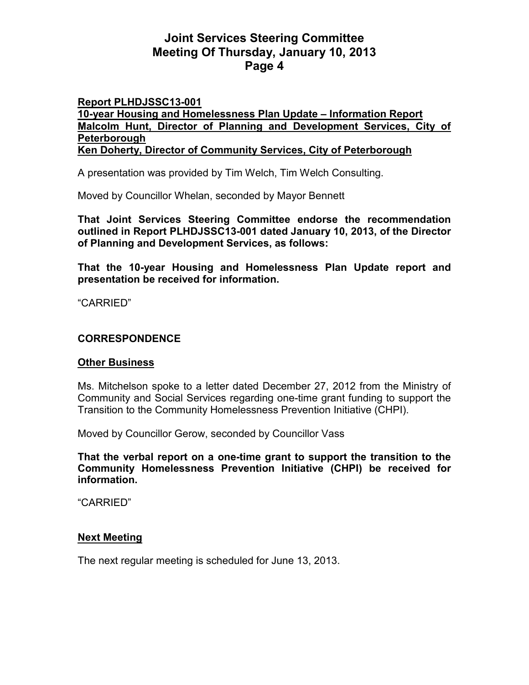#### **Report PLHDJSSC13-001 10-year Housing and Homelessness Plan Update – Information Report Malcolm Hunt, Director of Planning and Development Services, City of Peterborough Ken Doherty, Director of Community Services, City of Peterborough**

A presentation was provided by Tim Welch, Tim Welch Consulting.

Moved by Councillor Whelan, seconded by Mayor Bennett

**That Joint Services Steering Committee endorse the recommendation outlined in Report PLHDJSSC13-001 dated January 10, 2013, of the Director of Planning and Development Services, as follows:** 

**That the 10-year Housing and Homelessness Plan Update report and presentation be received for information.** 

"CARRIED"

## **CORRESPONDENCE**

#### **Other Business**

Ms. Mitchelson spoke to a letter dated December 27, 2012 from the Ministry of Community and Social Services regarding one-time grant funding to support the Transition to the Community Homelessness Prevention Initiative (CHPI).

Moved by Councillor Gerow, seconded by Councillor Vass

**That the verbal report on a one-time grant to support the transition to the Community Homelessness Prevention Initiative (CHPI) be received for information.** 

"CARRIED"

## **Next Meeting**

The next regular meeting is scheduled for June 13, 2013.